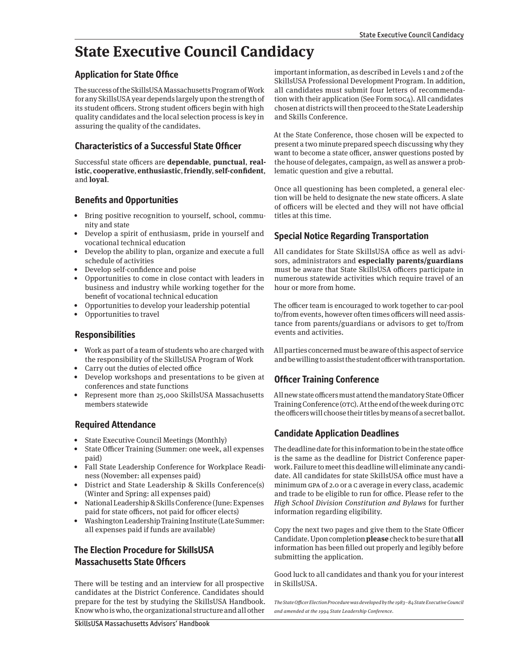## **State Executive Council Candidacy**

#### **Application for State Office**

The success of the SkillsUSA Massachusetts Program of Work for any SkillsUSA year depends largely upon the strength of its student officers. Strong student officers begin with high quality candidates and the local selection process is key in assuring the quality of the candidates.

## **Characteristics of a Successful State Officer**

Successful state officers are **dependable**, **punctual**, **realistic**, **cooperative**, **enthusiastic**, **friendly**, **self-confident**, and **loyal**.

### **Benefits and Opportunities**

- Bring positive recognition to yourself, school, community and state
- Develop a spirit of enthusiasm, pride in yourself and vocational technical education
- Develop the ability to plan, organize and execute a full schedule of activities
- Develop self-confidence and poise
- Opportunities to come in close contact with leaders in business and industry while working together for the benefit of vocational technical education
- Opportunities to develop your leadership potential
- Opportunities to travel

#### **Responsibilities**

- Work as part of a team of students who are charged with the responsibility of the SkillsUSA Program of Work
- Carry out the duties of elected office
- Develop workshops and presentations to be given at conferences and state functions
- Represent more than 25,000 SkillsUSA Massachusetts members statewide

#### **Required Attendance**

- State Executive Council Meetings (Monthly)
- State Officer Training (Summer: one week, all expenses paid)
- Fall State Leadership Conference for Workplace Readiness (November: all expenses paid)
- District and State Leadership & Skills Conference(s) (Winter and Spring: all expenses paid)
- National Leadership & Skills Conference (June: Expenses paid for state officers, not paid for officer elects)
- Washington Leadership Training Institute (Late Summer: all expenses paid if funds are available)

## **The Election Procedure for SkillsUSA Massachusetts State Officers**

There will be testing and an interview for all prospective candidates at the District Conference. Candidates should prepare for the test by studying the SkillsUSA Handbook. Know who is who, the organizational structure and all other

important information, as described in Levels 1 and 2 of the SkillsUSA Professional Development Program. In addition, all candidates must submit four letters of recommendation with their application (See Form SOC4). All candidates chosen at districts will then proceed to the State Leadership and Skills Conference.

At the State Conference, those chosen will be expected to present a two minute prepared speech discussing why they want to become a state officer, answer questions posted by the house of delegates, campaign, as well as answer a problematic question and give a rebuttal.

Once all questioning has been completed, a general election will be held to designate the new state officers. A slate of officers will be elected and they will not have official titles at this time.

### **Special Notice Regarding Transportation**

All candidates for State SkillsUSA office as well as advisors, administrators and **especially parents/guardians** must be aware that State SkillsUSA officers participate in numerous statewide activities which require travel of an hour or more from home.

The officer team is encouraged to work together to car-pool to/from events, however often times officers will need assistance from parents/guardians or advisors to get to/from events and activities.

All parties concerned must be aware of this aspect of service and be willing to assist the student officer with transportation.

## **Officer Training Conference**

All new state officers must attend the mandatory State Officer Training Conference (OTC). At the end of the week during OTC the officers will choose their titles by means of a secret ballot.

## **Candidate Application Deadlines**

The deadline date for this information to be in the state office is the same as the deadline for District Conference paperwork. Failure to meet this deadline will eliminate any candidate. All candidates for state SkillsUSA office must have a minimum GPA of 2.0 or a C average in every class, academic and trade to be eligible to run for office. Please refer to the High School Division Constitution and Bylaws for further information regarding eligibility.

Copy the next two pages and give them to the State Officer Candidate. Upon completion **please** check to be sure that **all** information has been filled out properly and legibly before submitting the application.

Good luck to all candidates and thank you for your interest in SkillsUSA.

The State Officer Election Procedure was developed by the 1983–84 State Executive Council and amended at the 1994 State Leadership Conference.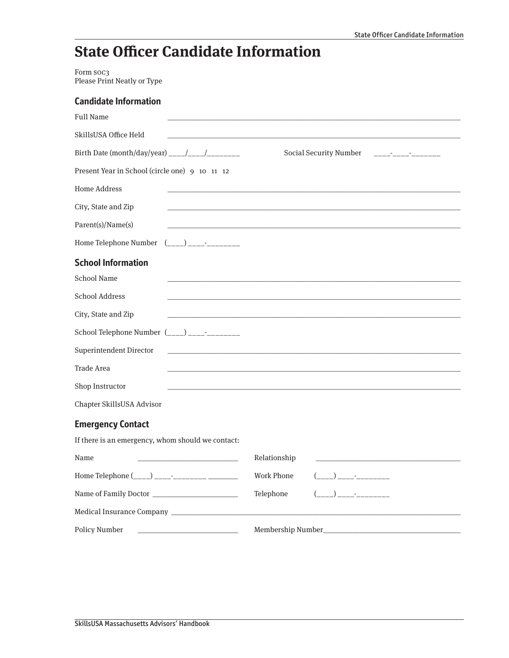# **State Officer Candidate Information**

Form SOC3 Please Print Neatly or Type

| <b>Candidate Information</b>                                              |                                                                                                                                                                                                                                      |
|---------------------------------------------------------------------------|--------------------------------------------------------------------------------------------------------------------------------------------------------------------------------------------------------------------------------------|
| <b>Full Name</b>                                                          |                                                                                                                                                                                                                                      |
| SkillsUSA Office Held                                                     |                                                                                                                                                                                                                                      |
|                                                                           |                                                                                                                                                                                                                                      |
| Present Year in School (circle one) 9 10 11 12                            |                                                                                                                                                                                                                                      |
| <b>Home Address</b>                                                       |                                                                                                                                                                                                                                      |
| City, State and Zip                                                       |                                                                                                                                                                                                                                      |
| Parent(s)/Name(s)                                                         | the control of the control of the control of the control of the control of the control of                                                                                                                                            |
|                                                                           |                                                                                                                                                                                                                                      |
| <b>School Information</b>                                                 |                                                                                                                                                                                                                                      |
| <b>School Name</b>                                                        | the control of the control of the control of the control of the control of the control of                                                                                                                                            |
| <b>School Address</b>                                                     |                                                                                                                                                                                                                                      |
| City, State and Zip                                                       | <u> 1989 - Johann John Stoff, deutscher Stoffen und der Stoffen und der Stoffen und der Stoffen und der Stoffen und der Stoffen und der Stoffen und der Stoffen und der Stoffen und der Stoffen und der Stoffen und der Stoffen </u> |
| School Telephone Number $($ <sub>___</sub> _) _____ <sup>_</sup> ________ |                                                                                                                                                                                                                                      |
| <b>Superintendent Director</b>                                            | <u> 1980 - Johann Stein, marwolaethau a bhann an t-Amhair ann an t-Amhair an t-Amhair an t-Amhair an t-Amhair an</u>                                                                                                                 |
| <b>Trade Area</b>                                                         |                                                                                                                                                                                                                                      |
| Shop Instructor                                                           |                                                                                                                                                                                                                                      |
| Chapter SkillsUSA Advisor                                                 |                                                                                                                                                                                                                                      |
| <b>Emergency Contact</b>                                                  |                                                                                                                                                                                                                                      |
| If there is an emergency, whom should we contact:                         |                                                                                                                                                                                                                                      |
| Name                                                                      | Relationship                                                                                                                                                                                                                         |
| Home Telephone (____) _______________ _________                           | <b>Work Phone</b>                                                                                                                                                                                                                    |
|                                                                           | $(\_\_ \_\_ )\_\_ \_\_ .$<br>Telephone                                                                                                                                                                                               |
|                                                                           |                                                                                                                                                                                                                                      |
| Policy Number                                                             |                                                                                                                                                                                                                                      |